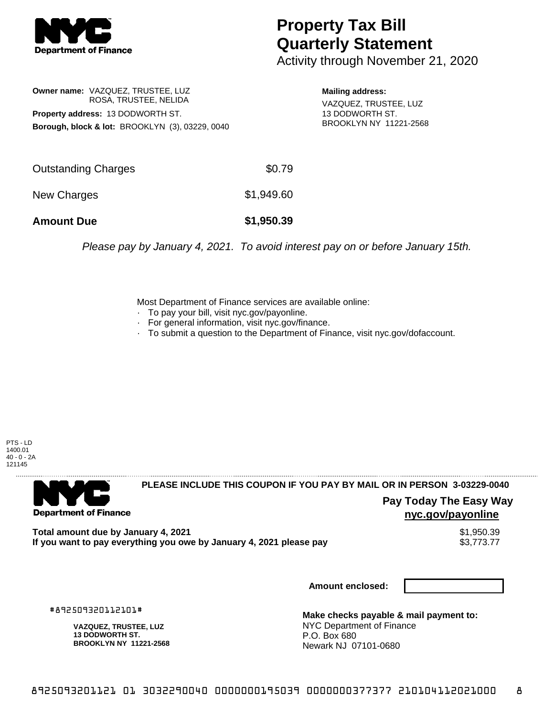

## **Property Tax Bill Quarterly Statement**

Activity through November 21, 2020

**Owner name:** VAZQUEZ, TRUSTEE, LUZ ROSA, TRUSTEE, NELIDA **Property address:** 13 DODWORTH ST. **Borough, block & lot:** BROOKLYN (3), 03229, 0040

**Mailing address:** VAZQUEZ, TRUSTEE, LUZ 13 DODWORTH ST. BROOKLYN NY 11221-2568

| <b>Amount Due</b>   | \$1,950.39 |
|---------------------|------------|
| New Charges         | \$1,949.60 |
| Outstanding Charges | \$0.79     |

Please pay by January 4, 2021. To avoid interest pay on or before January 15th.

Most Department of Finance services are available online:

- · To pay your bill, visit nyc.gov/payonline.
- For general information, visit nyc.gov/finance.
- · To submit a question to the Department of Finance, visit nyc.gov/dofaccount.

PTS - LD 1400.01 40 - 0 - 2A 121145



## **PLEASE INCLUDE THIS COUPON IF YOU PAY BY MAIL OR IN PERSON 3-03229-0040**

**Pay Today The Easy Way nyc.gov/payonline**

**Total amount due by January 4, 2021**<br>If you want to pay everything you owe by January 4, 2021 please pay **show that the summer way of the s**3,773.77 If you want to pay everything you owe by January 4, 2021 please pay

**Amount enclosed:**

#892509320112101#

**VAZQUEZ, TRUSTEE, LUZ 13 DODWORTH ST. BROOKLYN NY 11221-2568**

**Make checks payable & mail payment to:** NYC Department of Finance P.O. Box 680 Newark NJ 07101-0680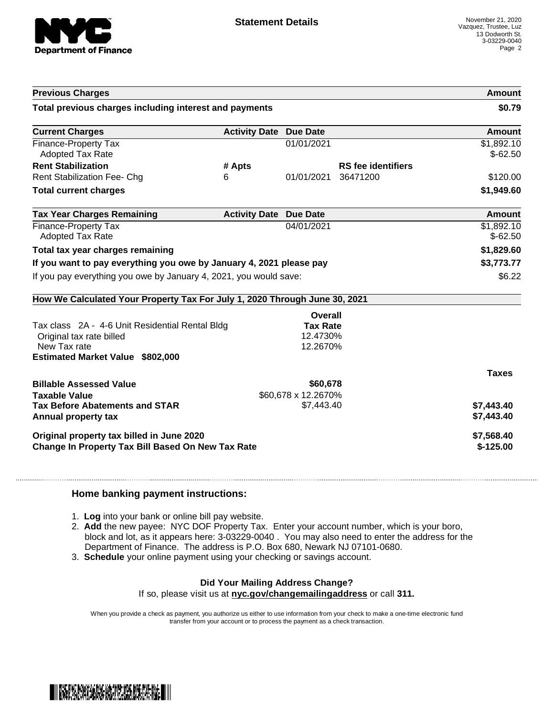

|                                                                            |                               |                     |                           | Amount                  |
|----------------------------------------------------------------------------|-------------------------------|---------------------|---------------------------|-------------------------|
| Total previous charges including interest and payments                     |                               |                     |                           | \$0.79                  |
| <b>Current Charges</b>                                                     | <b>Activity Date Due Date</b> |                     |                           | <b>Amount</b>           |
| <b>Finance-Property Tax</b><br><b>Adopted Tax Rate</b>                     |                               | 01/01/2021          |                           | \$1,892.10<br>$$-62.50$ |
| <b>Rent Stabilization</b>                                                  | # Apts                        |                     | <b>RS</b> fee identifiers |                         |
| <b>Rent Stabilization Fee- Chg</b>                                         | 6                             | 01/01/2021          | 36471200                  | \$120.00                |
| <b>Total current charges</b>                                               |                               |                     |                           | \$1,949.60              |
| <b>Tax Year Charges Remaining</b>                                          | <b>Activity Date Due Date</b> |                     |                           | Amount                  |
| <b>Finance-Property Tax</b><br>Adopted Tax Rate                            |                               | 04/01/2021          |                           | \$1,892.10<br>$$-62.50$ |
| Total tax year charges remaining                                           |                               |                     |                           | \$1,829.60              |
| If you want to pay everything you owe by January 4, 2021 please pay        |                               |                     |                           | \$3,773.77              |
| If you pay everything you owe by January 4, 2021, you would save:          |                               |                     |                           | \$6.22                  |
|                                                                            |                               |                     |                           |                         |
| How We Calculated Your Property Tax For July 1, 2020 Through June 30, 2021 |                               |                     |                           |                         |
|                                                                            |                               | Overall             |                           |                         |
| Tax class 2A - 4-6 Unit Residential Rental Bldg                            |                               | <b>Tax Rate</b>     |                           |                         |
| Original tax rate billed                                                   |                               | 12.4730%            |                           |                         |
| New Tax rate<br><b>Estimated Market Value \$802,000</b>                    |                               | 12.2670%            |                           |                         |
|                                                                            |                               |                     |                           | <b>Taxes</b>            |
| <b>Billable Assessed Value</b>                                             |                               | \$60,678            |                           |                         |
| <b>Taxable Value</b>                                                       |                               | \$60,678 x 12.2670% |                           |                         |
| <b>Tax Before Abatements and STAR</b>                                      |                               | \$7,443.40          |                           | \$7,443.40              |
| Annual property tax                                                        |                               |                     |                           | \$7,443.40              |
| Original property tax billed in June 2020                                  |                               |                     |                           | \$7,568.40              |

## **Home banking payment instructions:**

- 1. **Log** into your bank or online bill pay website.
- 2. **Add** the new payee: NYC DOF Property Tax. Enter your account number, which is your boro, block and lot, as it appears here: 3-03229-0040 . You may also need to enter the address for the Department of Finance. The address is P.O. Box 680, Newark NJ 07101-0680.
- 3. **Schedule** your online payment using your checking or savings account.

## **Did Your Mailing Address Change?**

If so, please visit us at **nyc.gov/changemailingaddress** or call **311.**

When you provide a check as payment, you authorize us either to use information from your check to make a one-time electronic fund transfer from your account or to process the payment as a check transaction.